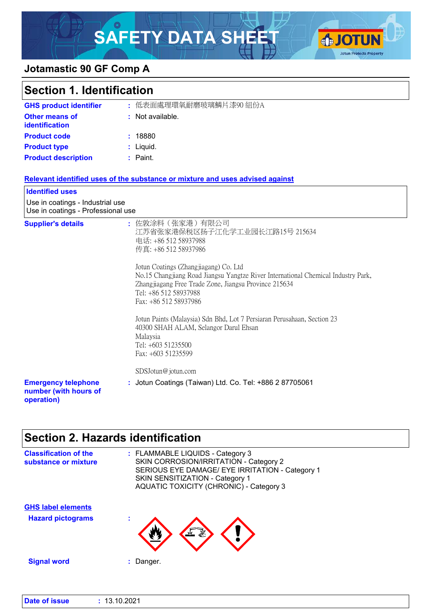# SAFETY DATA SHEET OF CONTUNING



### **Jotamastic 90 GF Comp A**

| <b>Section 1. Identification</b>                                       |  |                                                                                                                                                                                                                                                                                                                                                                                                                                                                                                                                              |
|------------------------------------------------------------------------|--|----------------------------------------------------------------------------------------------------------------------------------------------------------------------------------------------------------------------------------------------------------------------------------------------------------------------------------------------------------------------------------------------------------------------------------------------------------------------------------------------------------------------------------------------|
| <b>GHS product identifier</b>                                          |  | : 低表面處理環氧耐磨玻璃鱗片漆90 組份A                                                                                                                                                                                                                                                                                                                                                                                                                                                                                                                       |
| <b>Other means of</b><br><b>identification</b>                         |  | : Not available.                                                                                                                                                                                                                                                                                                                                                                                                                                                                                                                             |
| <b>Product code</b>                                                    |  | : 18880                                                                                                                                                                                                                                                                                                                                                                                                                                                                                                                                      |
| <b>Product type</b>                                                    |  | : Liquid.                                                                                                                                                                                                                                                                                                                                                                                                                                                                                                                                    |
| <b>Product description</b>                                             |  | : Paint.                                                                                                                                                                                                                                                                                                                                                                                                                                                                                                                                     |
|                                                                        |  | Relevant identified uses of the substance or mixture and uses advised against                                                                                                                                                                                                                                                                                                                                                                                                                                                                |
| <b>Identified uses</b>                                                 |  |                                                                                                                                                                                                                                                                                                                                                                                                                                                                                                                                              |
| Use in coatings - Industrial use<br>Use in coatings - Professional use |  |                                                                                                                                                                                                                                                                                                                                                                                                                                                                                                                                              |
| <b>Supplier's details</b>                                              |  | : 佐敦涂料(张家港)有限公司<br>江苏省张家港保税区扬子江化学工业园长江路15号 215634<br>电话: +86 512 58937988<br>传真: +86 512 58937986<br>Jotun Coatings (Zhangjiagang) Co. Ltd<br>No.15 Changjiang Road Jiangsu Yangtze River International Chemical Industry Park,<br>Zhangjiagang Free Trade Zone, Jiangsu Province 215634<br>Tel: +86 512 58937988<br>Fax: +86 512 58937986<br>Jotun Paints (Malaysia) Sdn Bhd, Lot 7 Persiaran Perusahaan, Section 23<br>40300 SHAH ALAM, Selangor Darul Ehsan<br>Malaysia<br>Tel: +603 51235500<br>Fax: +603 51235599<br>SDSJotun@jotun.com |
| <b>Emergency telephone</b><br>number (with hours of<br>operation)      |  | : Jotun Coatings (Taiwan) Ltd. Co. Tel: +886 2 87705061                                                                                                                                                                                                                                                                                                                                                                                                                                                                                      |

### **Section 2. Hazards identification**

| <b>Classification of the</b><br>substance or mixture | : FLAMMABLE LIQUIDS - Category 3<br>SKIN CORROSION/IRRITATION - Category 2<br>SERIOUS EYE DAMAGE/ EYE IRRITATION - Category 1<br>SKIN SENSITIZATION - Category 1<br>AQUATIC TOXICITY (CHRONIC) - Category 3 |
|------------------------------------------------------|-------------------------------------------------------------------------------------------------------------------------------------------------------------------------------------------------------------|
| <b>GHS label elements</b>                            |                                                                                                                                                                                                             |
| <b>Hazard pictograms</b>                             | ٠                                                                                                                                                                                                           |
| <b>Signal word</b>                                   | Danger.                                                                                                                                                                                                     |
|                                                      |                                                                                                                                                                                                             |

| : 13.10.2021 |
|--------------|
|              |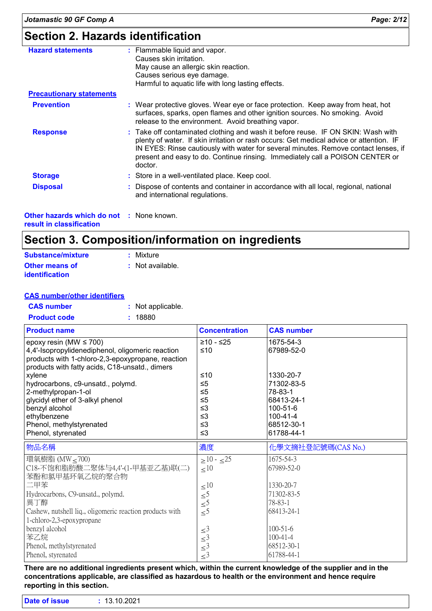### **Section 2. Hazards identification**

| <b>Hazard statements</b>                        | : Flammable liquid and vapor.<br>Causes skin irritation.<br>May cause an allergic skin reaction.<br>Causes serious eye damage.<br>Harmful to aquatic life with long lasting effects.                                                                                                                                                                           |
|-------------------------------------------------|----------------------------------------------------------------------------------------------------------------------------------------------------------------------------------------------------------------------------------------------------------------------------------------------------------------------------------------------------------------|
| <b>Precautionary statements</b>                 |                                                                                                                                                                                                                                                                                                                                                                |
| <b>Prevention</b>                               | : Wear protective gloves. Wear eye or face protection. Keep away from heat, hot<br>surfaces, sparks, open flames and other ignition sources. No smoking. Avoid<br>release to the environment. Avoid breathing vapor.                                                                                                                                           |
| <b>Response</b>                                 | : Take off contaminated clothing and wash it before reuse. IF ON SKIN: Wash with<br>plenty of water. If skin irritation or rash occurs: Get medical advice or attention. IF<br>IN EYES: Rinse cautiously with water for several minutes. Remove contact lenses, if<br>present and easy to do. Continue rinsing. Immediately call a POISON CENTER or<br>doctor. |
| <b>Storage</b>                                  | : Store in a well-ventilated place. Keep cool.                                                                                                                                                                                                                                                                                                                 |
| <b>Disposal</b>                                 | : Dispose of contents and container in accordance with all local, regional, national<br>and international regulations.                                                                                                                                                                                                                                         |
| <b>Other hazards which do not : None known.</b> |                                                                                                                                                                                                                                                                                                                                                                |

**result in classification**

### **Section 3. Composition/information on ingredients**

| Substance/mixture                              | : Mixture        |
|------------------------------------------------|------------------|
| <b>Other means of</b><br><i>identification</i> | : Not available. |

#### **CAS number/other identifiers**

| <b>CAS</b> number   | : Not applicable. |
|---------------------|-------------------|
| <b>Product code</b> | : 18880           |

| <b>Product name</b>                                      | <b>Concentration</b>                       | <b>CAS number</b>        |
|----------------------------------------------------------|--------------------------------------------|--------------------------|
| epoxy resin (MW $\leq$ 700)                              | $≥10 - ≤25$                                | 1675-54-3                |
| 4,4'-Isopropylidenediphenol, oligomeric reaction         | ≤10                                        | 67989-52-0               |
| products with 1-chloro-2,3-epoxypropane, reaction        |                                            |                          |
| products with fatty acids, C18-unsatd., dimers           |                                            |                          |
| xylene<br>hydrocarbons, c9-unsatd., polymd.              | ≤10<br>$\leq 5$                            | 1330-20-7<br>71302-83-5  |
| 2-methylpropan-1-ol                                      | $\leq 5$                                   | 78-83-1                  |
| glycidyl ether of 3-alkyl phenol                         | $\leq 5$                                   | 68413-24-1               |
| benzyl alcohol                                           | $\leq$ 3                                   | 100-51-6                 |
| ethylbenzene                                             | ≤3                                         | 100-41-4                 |
| Phenol, methylstyrenated                                 | $\leq$ 3                                   | 68512-30-1               |
| Phenol, styrenated                                       | $\leq$ 3                                   | 61788-44-1               |
|                                                          |                                            |                          |
| 物品名稱                                                     | 濃度                                         | 化學文摘社登記號碼(CAS No.)       |
| 環氧樹脂 (MW < 700)                                          | $>10 - 25$                                 | 1675-54-3                |
| C18-不饱和脂肪酸二聚体与4,4'-(1-甲基亚乙基)联(二)                         | $\leq 10$                                  | 67989-52-0               |
| 苯酚和氯甲基环氧乙烷的聚合物                                           |                                            |                          |
| 二甲苯                                                      | $\leq 10$                                  | 1330-20-7                |
| Hydrocarbons, C9-unsatd., polymd.                        | $\leq 5$                                   | 71302-83-5               |
| 異丁醇                                                      | $\leq 5$                                   | 78-83-1                  |
| Cashew, nutshell liq., oligomeric reaction products with | $\leq^5$                                   | 68413-24-1               |
| 1-chloro-2,3-epoxypropane                                |                                            |                          |
| benzyl alcohol                                           | $\leq$ <sup>3</sup>                        | $100 - 51 - 6$           |
| 苯乙烷                                                      | $\leq$ <sup>3</sup>                        | $100 - 41 - 4$           |
| Phenol, methylstyrenated<br>Phenol, styrenated           | $\leq$ <sup>3</sup><br>$\leq$ <sup>3</sup> | 68512-30-1<br>61788-44-1 |

**There are no additional ingredients present which, within the current knowledge of the supplier and in the concentrations applicable, are classified as hazardous to health or the environment and hence require reporting in this section.**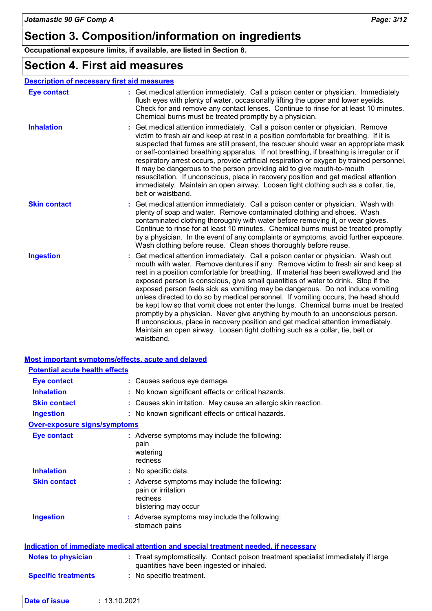### **Section 3. Composition/information on ingredients**

**Occupational exposure limits, if available, are listed in Section 8.**

### **Section 4. First aid measures**

| <b>Description of necessary first aid measures</b> |  |
|----------------------------------------------------|--|
|----------------------------------------------------|--|

| <b>Eye contact</b>  | : Get medical attention immediately. Call a poison center or physician. Immediately<br>flush eyes with plenty of water, occasionally lifting the upper and lower eyelids.<br>Check for and remove any contact lenses. Continue to rinse for at least 10 minutes.<br>Chemical burns must be treated promptly by a physician.                                                                                                                                                                                                                                                                                                                                                                                                                                                                                                                                                            |
|---------------------|----------------------------------------------------------------------------------------------------------------------------------------------------------------------------------------------------------------------------------------------------------------------------------------------------------------------------------------------------------------------------------------------------------------------------------------------------------------------------------------------------------------------------------------------------------------------------------------------------------------------------------------------------------------------------------------------------------------------------------------------------------------------------------------------------------------------------------------------------------------------------------------|
| <b>Inhalation</b>   | : Get medical attention immediately. Call a poison center or physician. Remove<br>victim to fresh air and keep at rest in a position comfortable for breathing. If it is<br>suspected that fumes are still present, the rescuer should wear an appropriate mask<br>or self-contained breathing apparatus. If not breathing, if breathing is irregular or if<br>respiratory arrest occurs, provide artificial respiration or oxygen by trained personnel.<br>It may be dangerous to the person providing aid to give mouth-to-mouth<br>resuscitation. If unconscious, place in recovery position and get medical attention<br>immediately. Maintain an open airway. Loosen tight clothing such as a collar, tie,<br>belt or waistband.                                                                                                                                                  |
| <b>Skin contact</b> | Get medical attention immediately. Call a poison center or physician. Wash with<br>plenty of soap and water. Remove contaminated clothing and shoes. Wash<br>contaminated clothing thoroughly with water before removing it, or wear gloves.<br>Continue to rinse for at least 10 minutes. Chemical burns must be treated promptly<br>by a physician. In the event of any complaints or symptoms, avoid further exposure.<br>Wash clothing before reuse. Clean shoes thoroughly before reuse.                                                                                                                                                                                                                                                                                                                                                                                          |
| <b>Ingestion</b>    | : Get medical attention immediately. Call a poison center or physician. Wash out<br>mouth with water. Remove dentures if any. Remove victim to fresh air and keep at<br>rest in a position comfortable for breathing. If material has been swallowed and the<br>exposed person is conscious, give small quantities of water to drink. Stop if the<br>exposed person feels sick as vomiting may be dangerous. Do not induce vomiting<br>unless directed to do so by medical personnel. If vomiting occurs, the head should<br>be kept low so that vomit does not enter the lungs. Chemical burns must be treated<br>promptly by a physician. Never give anything by mouth to an unconscious person.<br>If unconscious, place in recovery position and get medical attention immediately.<br>Maintain an open airway. Loosen tight clothing such as a collar, tie, belt or<br>waistband. |

|                                       | <b>Most important symptoms/effects, acute and delayed</b>                                                                      |
|---------------------------------------|--------------------------------------------------------------------------------------------------------------------------------|
| <b>Potential acute health effects</b> |                                                                                                                                |
| <b>Eye contact</b>                    | : Causes serious eye damage.                                                                                                   |
| <b>Inhalation</b>                     | : No known significant effects or critical hazards.                                                                            |
| <b>Skin contact</b>                   | : Causes skin irritation. May cause an allergic skin reaction.                                                                 |
| <b>Ingestion</b>                      | : No known significant effects or critical hazards.                                                                            |
| <b>Over-exposure signs/symptoms</b>   |                                                                                                                                |
| <b>Eye contact</b>                    | : Adverse symptoms may include the following:<br>pain<br>watering<br>redness                                                   |
| <b>Inhalation</b>                     | : No specific data.                                                                                                            |
| <b>Skin contact</b>                   | : Adverse symptoms may include the following:<br>pain or irritation<br>redness<br>blistering may occur                         |
| <b>Ingestion</b>                      | : Adverse symptoms may include the following:<br>stomach pains                                                                 |
|                                       | Indication of immediate medical attention and special treatment needed, if necessary                                           |
| <b>Notes to physician</b>             | : Treat symptomatically. Contact poison treatment specialist immediately if large<br>quantities have been ingested or inhaled. |
| <b>Specific treatments</b>            | : No specific treatment.                                                                                                       |

| Date of issue | : 13.10.2021 |
|---------------|--------------|
|               |              |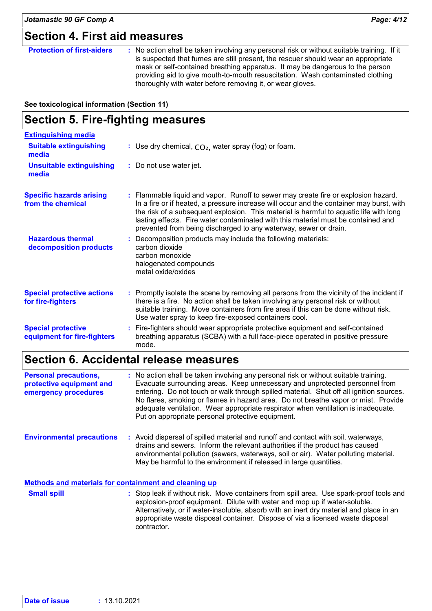### **Section 4. First aid measures**

| mask or self-contained breathing apparatus. It may be dangerous to the person<br>providing aid to give mouth-to-mouth resuscitation. Wash contaminated clothing<br>thoroughly with water before removing it, or wear gloves. | <b>Protection of first-aiders</b> | : No action shall be taken involving any personal risk or without suitable training. If it<br>is suspected that fumes are still present, the rescuer should wear an appropriate |
|------------------------------------------------------------------------------------------------------------------------------------------------------------------------------------------------------------------------------|-----------------------------------|---------------------------------------------------------------------------------------------------------------------------------------------------------------------------------|
|------------------------------------------------------------------------------------------------------------------------------------------------------------------------------------------------------------------------------|-----------------------------------|---------------------------------------------------------------------------------------------------------------------------------------------------------------------------------|

#### **See toxicological information (Section 11)**

### **Section 5. Fire-fighting measures**

| <b>Extinguishing media</b>                               |                                                                                                                                                                                                                                                                                                                                                                                                                                   |
|----------------------------------------------------------|-----------------------------------------------------------------------------------------------------------------------------------------------------------------------------------------------------------------------------------------------------------------------------------------------------------------------------------------------------------------------------------------------------------------------------------|
| <b>Suitable extinguishing</b><br>media                   | : Use dry chemical, $CO2$ , water spray (fog) or foam.                                                                                                                                                                                                                                                                                                                                                                            |
| <b>Unsuitable extinguishing</b><br>media                 | : Do not use water jet.                                                                                                                                                                                                                                                                                                                                                                                                           |
| <b>Specific hazards arising</b><br>from the chemical     | : Flammable liquid and vapor. Runoff to sewer may create fire or explosion hazard.<br>In a fire or if heated, a pressure increase will occur and the container may burst, with<br>the risk of a subsequent explosion. This material is harmful to aquatic life with long<br>lasting effects. Fire water contaminated with this material must be contained and<br>prevented from being discharged to any waterway, sewer or drain. |
| <b>Hazardous thermal</b><br>decomposition products       | : Decomposition products may include the following materials:<br>carbon dioxide<br>carbon monoxide<br>halogenated compounds<br>metal oxide/oxides                                                                                                                                                                                                                                                                                 |
| <b>Special protective actions</b><br>for fire-fighters   | : Promptly isolate the scene by removing all persons from the vicinity of the incident if<br>there is a fire. No action shall be taken involving any personal risk or without<br>suitable training. Move containers from fire area if this can be done without risk.<br>Use water spray to keep fire-exposed containers cool.                                                                                                     |
| <b>Special protective</b><br>equipment for fire-fighters | : Fire-fighters should wear appropriate protective equipment and self-contained<br>breathing apparatus (SCBA) with a full face-piece operated in positive pressure<br>mode.                                                                                                                                                                                                                                                       |

### **Section 6. Accidental release measures**

| <b>Personal precautions,</b><br>protective equipment and<br>emergency procedures | : No action shall be taken involving any personal risk or without suitable training.<br>Evacuate surrounding areas. Keep unnecessary and unprotected personnel from<br>entering. Do not touch or walk through spilled material. Shut off all ignition sources.<br>No flares, smoking or flames in hazard area. Do not breathe vapor or mist. Provide<br>adequate ventilation. Wear appropriate respirator when ventilation is inadequate.<br>Put on appropriate personal protective equipment. |
|----------------------------------------------------------------------------------|------------------------------------------------------------------------------------------------------------------------------------------------------------------------------------------------------------------------------------------------------------------------------------------------------------------------------------------------------------------------------------------------------------------------------------------------------------------------------------------------|
| <b>Environmental precautions</b>                                                 | : Avoid dispersal of spilled material and runoff and contact with soil, waterways,<br>drains and sewers. Inform the relevant authorities if the product has caused<br>environmental pollution (sewers, waterways, soil or air). Water polluting material.<br>May be harmful to the environment if released in large quantities.                                                                                                                                                                |

#### **Methods and materials for containment and cleaning up**

Stop leak if without risk. Move containers from spill area. Use spark-proof tools and explosion-proof equipment. Dilute with water and mop up if water-soluble. Alternatively, or if water-insoluble, absorb with an inert dry material and place in an appropriate waste disposal container. Dispose of via a licensed waste disposal contractor. **Small spill :**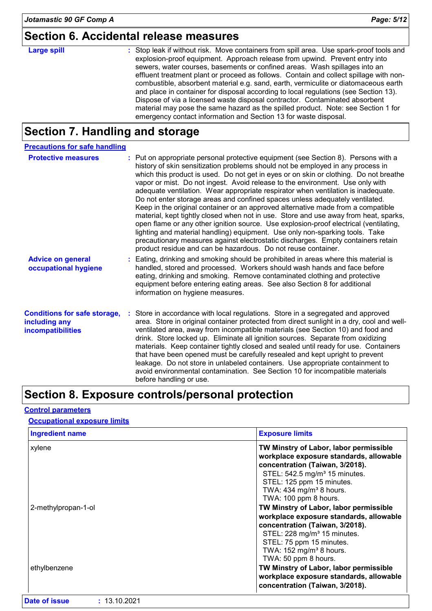### **Section 6. Accidental release measures**

#### Stop leak if without risk. Move containers from spill area. Use spark-proof tools and explosion-proof equipment. Approach release from upwind. Prevent entry into sewers, water courses, basements or confined areas. Wash spillages into an effluent treatment plant or proceed as follows. Contain and collect spillage with noncombustible, absorbent material e.g. sand, earth, vermiculite or diatomaceous earth and place in container for disposal according to local regulations (see Section 13). Dispose of via a licensed waste disposal contractor. Contaminated absorbent material may pose the same hazard as the spilled product. Note: see Section 1 for emergency contact information and Section 13 for waste disposal. **Large spill :**

### **Section 7. Handling and storage**

| <b>Precautions for safe handling</b>                                             |                                                                                                                                                                                                                                                                                                                                                                                                                                                                                                                                                                                                                                                                                                                                                                                                                                                                                                                                                                                                                                |
|----------------------------------------------------------------------------------|--------------------------------------------------------------------------------------------------------------------------------------------------------------------------------------------------------------------------------------------------------------------------------------------------------------------------------------------------------------------------------------------------------------------------------------------------------------------------------------------------------------------------------------------------------------------------------------------------------------------------------------------------------------------------------------------------------------------------------------------------------------------------------------------------------------------------------------------------------------------------------------------------------------------------------------------------------------------------------------------------------------------------------|
| <b>Protective measures</b>                                                       | : Put on appropriate personal protective equipment (see Section 8). Persons with a<br>history of skin sensitization problems should not be employed in any process in<br>which this product is used. Do not get in eyes or on skin or clothing. Do not breathe<br>vapor or mist. Do not ingest. Avoid release to the environment. Use only with<br>adequate ventilation. Wear appropriate respirator when ventilation is inadequate.<br>Do not enter storage areas and confined spaces unless adequately ventilated.<br>Keep in the original container or an approved alternative made from a compatible<br>material, kept tightly closed when not in use. Store and use away from heat, sparks,<br>open flame or any other ignition source. Use explosion-proof electrical (ventilating,<br>lighting and material handling) equipment. Use only non-sparking tools. Take<br>precautionary measures against electrostatic discharges. Empty containers retain<br>product residue and can be hazardous. Do not reuse container. |
| <b>Advice on general</b><br>occupational hygiene                                 | : Eating, drinking and smoking should be prohibited in areas where this material is<br>handled, stored and processed. Workers should wash hands and face before<br>eating, drinking and smoking. Remove contaminated clothing and protective<br>equipment before entering eating areas. See also Section 8 for additional<br>information on hygiene measures.                                                                                                                                                                                                                                                                                                                                                                                                                                                                                                                                                                                                                                                                  |
| <b>Conditions for safe storage,</b><br>including any<br><b>incompatibilities</b> | : Store in accordance with local regulations. Store in a segregated and approved<br>area. Store in original container protected from direct sunlight in a dry, cool and well-<br>ventilated area, away from incompatible materials (see Section 10) and food and<br>drink. Store locked up. Eliminate all ignition sources. Separate from oxidizing<br>materials. Keep container tightly closed and sealed until ready for use. Containers<br>that have been opened must be carefully resealed and kept upright to prevent<br>leakage. Do not store in unlabeled containers. Use appropriate containment to<br>avoid environmental contamination. See Section 10 for incompatible materials<br>before handling or use.                                                                                                                                                                                                                                                                                                         |

### **Section 8. Exposure controls/personal protection**

#### **Control parameters**

#### **Occupational exposure limits**

| <b>Ingredient name</b> | <b>Exposure limits</b>                                                                                                                                                                                                                                         |  |  |  |
|------------------------|----------------------------------------------------------------------------------------------------------------------------------------------------------------------------------------------------------------------------------------------------------------|--|--|--|
| xylene                 | TW Minstry of Labor, labor permissible<br>workplace exposure standards, allowable<br>concentration (Taiwan, 3/2018).<br>STEL: 542.5 mg/m <sup>3</sup> 15 minutes.<br>STEL: 125 ppm 15 minutes.<br>TWA: 434 mg/m <sup>3</sup> 8 hours.<br>TWA: 100 ppm 8 hours. |  |  |  |
| 2-methylpropan-1-ol    | TW Minstry of Labor, labor permissible<br>workplace exposure standards, allowable<br>concentration (Taiwan, 3/2018).<br>STEL: 228 mg/m <sup>3</sup> 15 minutes.<br>STEL: 75 ppm 15 minutes.<br>TWA: 152 mg/m <sup>3</sup> 8 hours.<br>TWA: 50 ppm 8 hours.     |  |  |  |
| ethylbenzene           | TW Minstry of Labor, labor permissible<br>workplace exposure standards, allowable<br>concentration (Taiwan, 3/2018).                                                                                                                                           |  |  |  |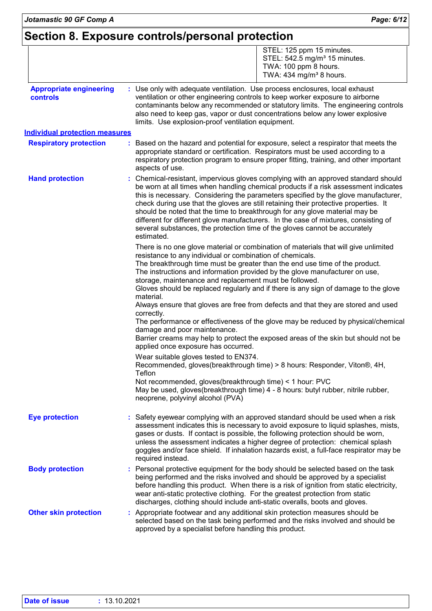|                                                   | STEL: 125 ppm 15 minutes.<br>STEL: 542.5 mg/m <sup>3</sup> 15 minutes.<br>TWA: 100 ppm 8 hours.<br>TWA: $434$ mg/m <sup>3</sup> 8 hours.                                                                                                                                                                                                                                                                                                                                                                                                                                                                                                                                                                                                                                                                                          |
|---------------------------------------------------|-----------------------------------------------------------------------------------------------------------------------------------------------------------------------------------------------------------------------------------------------------------------------------------------------------------------------------------------------------------------------------------------------------------------------------------------------------------------------------------------------------------------------------------------------------------------------------------------------------------------------------------------------------------------------------------------------------------------------------------------------------------------------------------------------------------------------------------|
| <b>Appropriate engineering</b><br><b>controls</b> | : Use only with adequate ventilation. Use process enclosures, local exhaust<br>ventilation or other engineering controls to keep worker exposure to airborne<br>contaminants below any recommended or statutory limits. The engineering controls<br>also need to keep gas, vapor or dust concentrations below any lower explosive<br>limits. Use explosion-proof ventilation equipment.                                                                                                                                                                                                                                                                                                                                                                                                                                           |
| <b>Individual protection measures</b>             |                                                                                                                                                                                                                                                                                                                                                                                                                                                                                                                                                                                                                                                                                                                                                                                                                                   |
| <b>Respiratory protection</b>                     | Based on the hazard and potential for exposure, select a respirator that meets the<br>appropriate standard or certification. Respirators must be used according to a<br>respiratory protection program to ensure proper fitting, training, and other important<br>aspects of use.                                                                                                                                                                                                                                                                                                                                                                                                                                                                                                                                                 |
| <b>Hand protection</b>                            | : Chemical-resistant, impervious gloves complying with an approved standard should<br>be worn at all times when handling chemical products if a risk assessment indicates<br>this is necessary. Considering the parameters specified by the glove manufacturer,<br>check during use that the gloves are still retaining their protective properties. It<br>should be noted that the time to breakthrough for any glove material may be<br>different for different glove manufacturers. In the case of mixtures, consisting of<br>several substances, the protection time of the gloves cannot be accurately<br>estimated.                                                                                                                                                                                                         |
|                                                   | There is no one glove material or combination of materials that will give unlimited<br>resistance to any individual or combination of chemicals.<br>The breakthrough time must be greater than the end use time of the product.<br>The instructions and information provided by the glove manufacturer on use,<br>storage, maintenance and replacement must be followed.<br>Gloves should be replaced regularly and if there is any sign of damage to the glove<br>material.<br>Always ensure that gloves are free from defects and that they are stored and used<br>correctly.<br>The performance or effectiveness of the glove may be reduced by physical/chemical<br>damage and poor maintenance.<br>Barrier creams may help to protect the exposed areas of the skin but should not be<br>applied once exposure has occurred. |
|                                                   | Wear suitable gloves tested to EN374.<br>Recommended, gloves(breakthrough time) > 8 hours: Responder, Viton®, 4H,<br>Teflon<br>Not recommended, gloves(breakthrough time) < 1 hour: PVC<br>May be used, gloves(breakthrough time) 4 - 8 hours: butyl rubber, nitrile rubber,<br>neoprene, polyvinyl alcohol (PVA)                                                                                                                                                                                                                                                                                                                                                                                                                                                                                                                 |
| <b>Eye protection</b>                             | : Safety eyewear complying with an approved standard should be used when a risk<br>assessment indicates this is necessary to avoid exposure to liquid splashes, mists,<br>gases or dusts. If contact is possible, the following protection should be worn,<br>unless the assessment indicates a higher degree of protection: chemical splash<br>goggles and/or face shield. If inhalation hazards exist, a full-face respirator may be<br>required instead.                                                                                                                                                                                                                                                                                                                                                                       |
| <b>Body protection</b>                            | Personal protective equipment for the body should be selected based on the task<br>being performed and the risks involved and should be approved by a specialist<br>before handling this product. When there is a risk of ignition from static electricity,<br>wear anti-static protective clothing. For the greatest protection from static<br>discharges, clothing should include anti-static overalls, boots and gloves.                                                                                                                                                                                                                                                                                                                                                                                                       |
| <b>Other skin protection</b>                      | : Appropriate footwear and any additional skin protection measures should be<br>selected based on the task being performed and the risks involved and should be<br>approved by a specialist before handling this product.                                                                                                                                                                                                                                                                                                                                                                                                                                                                                                                                                                                                         |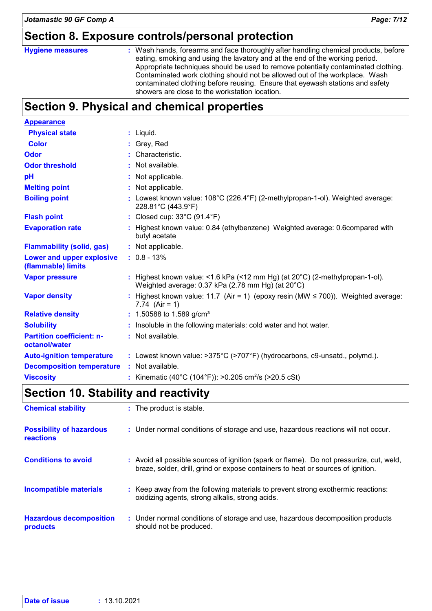### **Section 8. Exposure controls/personal protection**

#### **Hygiene measures :**

Wash hands, forearms and face thoroughly after handling chemical products, before eating, smoking and using the lavatory and at the end of the working period. Appropriate techniques should be used to remove potentially contaminated clothing. Contaminated work clothing should not be allowed out of the workplace. Wash contaminated clothing before reusing. Ensure that eyewash stations and safety showers are close to the workstation location.

### **Section 9. Physical and chemical properties**

| <b>Appearance</b>                                 |                                                                                                                                             |
|---------------------------------------------------|---------------------------------------------------------------------------------------------------------------------------------------------|
| <b>Physical state</b>                             | $:$ Liquid.                                                                                                                                 |
| <b>Color</b>                                      | : Grey, Red                                                                                                                                 |
| <b>Odor</b>                                       | : Characteristic.                                                                                                                           |
| <b>Odor threshold</b>                             | : Not available.                                                                                                                            |
| pH                                                | : Not applicable.                                                                                                                           |
| <b>Melting point</b>                              | : Not applicable.                                                                                                                           |
| <b>Boiling point</b>                              | : Lowest known value: $108^{\circ}$ C (226.4 $^{\circ}$ F) (2-methylpropan-1-ol). Weighted average:<br>228.81°C (443.9°F)                   |
| <b>Flash point</b>                                | : Closed cup: $33^{\circ}$ C (91.4 $^{\circ}$ F)                                                                                            |
| <b>Evaporation rate</b>                           | : Highest known value: 0.84 (ethylbenzene) Weighted average: 0.6compared with<br>butyl acetate                                              |
| <b>Flammability (solid, gas)</b>                  | : Not applicable.                                                                                                                           |
| Lower and upper explosive<br>(flammable) limits   | $: 0.8 - 13\%$                                                                                                                              |
| <b>Vapor pressure</b>                             | : Highest known value: <1.6 kPa (<12 mm Hg) (at $20^{\circ}$ C) (2-methylpropan-1-ol).<br>Weighted average: 0.37 kPa (2.78 mm Hg) (at 20°C) |
| <b>Vapor density</b>                              | : Highest known value: 11.7 (Air = 1) (epoxy resin (MW $\leq$ 700)). Weighted average:<br>7.74 $(Air = 1)$                                  |
| <b>Relative density</b>                           | : 1.50588 to 1.589 g/cm <sup>3</sup>                                                                                                        |
| <b>Solubility</b>                                 | : Insoluble in the following materials: cold water and hot water.                                                                           |
| <b>Partition coefficient: n-</b><br>octanol/water | : Not available.                                                                                                                            |
| <b>Auto-ignition temperature</b>                  | : Lowest known value: >375°C (>707°F) (hydrocarbons, c9-unsatd., polymd.).                                                                  |
| <b>Decomposition temperature</b>                  | : Not available.                                                                                                                            |
| <b>Viscosity</b>                                  | : Kinematic (40°C (104°F)): >0.205 cm <sup>2</sup> /s (>20.5 cSt)                                                                           |

### **Section 10. Stability and reactivity**

| <b>Chemical stability</b>                           | : The product is stable.                                                                                                                                                     |
|-----------------------------------------------------|------------------------------------------------------------------------------------------------------------------------------------------------------------------------------|
| <b>Possibility of hazardous</b><br><b>reactions</b> | : Under normal conditions of storage and use, hazardous reactions will not occur.                                                                                            |
| <b>Conditions to avoid</b>                          | : Avoid all possible sources of ignition (spark or flame). Do not pressurize, cut, weld,<br>braze, solder, drill, grind or expose containers to heat or sources of ignition. |
| Incompatible materials                              | : Keep away from the following materials to prevent strong exothermic reactions:<br>oxidizing agents, strong alkalis, strong acids.                                          |
| <b>Hazardous decomposition</b><br>products          | : Under normal conditions of storage and use, hazardous decomposition products<br>should not be produced.                                                                    |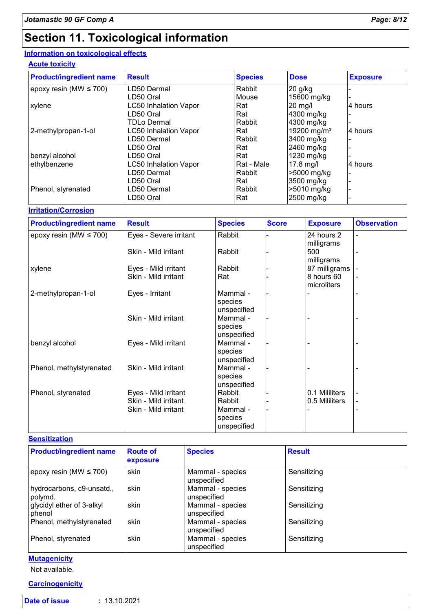## **Section 11. Toxicological information**

### **Information on toxicological effects**

### **Acute toxicity**

| <b>Product/ingredient name</b> | <b>Result</b>                | <b>Species</b> | <b>Dose</b>             | <b>Exposure</b> |
|--------------------------------|------------------------------|----------------|-------------------------|-----------------|
| epoxy resin (MW $\leq$ 700)    | LD50 Dermal                  | Rabbit         | $20$ g/kg               |                 |
|                                | LD50 Oral                    | Mouse          | 15600 mg/kg             |                 |
| xylene                         | <b>LC50 Inhalation Vapor</b> | Rat            | $20$ mg/l               | 4 hours         |
|                                | LD50 Oral                    | Rat            | 4300 mg/kg              |                 |
|                                | <b>TDLo Dermal</b>           | Rabbit         | 4300 mg/kg              |                 |
| 2-methylpropan-1-ol            | <b>LC50 Inhalation Vapor</b> | Rat            | 19200 mg/m <sup>3</sup> | 4 hours         |
|                                | LD50 Dermal                  | Rabbit         | 3400 mg/kg              |                 |
|                                | LD50 Oral                    | Rat            | 2460 mg/kg              |                 |
| benzyl alcohol                 | LD50 Oral                    | Rat            | 1230 mg/kg              |                 |
| ethylbenzene                   | <b>LC50 Inhalation Vapor</b> | Rat - Male     | $17.8$ mg/l             | 4 hours         |
|                                | LD50 Dermal                  | Rabbit         | >5000 mg/kg             |                 |
|                                | LD50 Oral                    | Rat            | 3500 mg/kg              |                 |
| Phenol, styrenated             | LD50 Dermal                  | Rabbit         | >5010 mg/kg             |                 |
|                                | LD50 Oral                    | Rat            | 2500 mg/kg              |                 |

#### **Irritation/Corrosion**

| <b>Product/ingredient name</b> | <b>Result</b>          | <b>Species</b>                     | <b>Score</b> | <b>Exposure</b>           | <b>Observation</b>       |
|--------------------------------|------------------------|------------------------------------|--------------|---------------------------|--------------------------|
| epoxy resin (MW $\leq$ 700)    | Eyes - Severe irritant | Rabbit                             |              | 24 hours 2<br>milligrams  | $\overline{\phantom{0}}$ |
|                                | Skin - Mild irritant   | Rabbit                             |              | 500<br>milligrams         |                          |
| xylene                         | Eyes - Mild irritant   | Rabbit                             |              | 87 milligrams             |                          |
|                                | Skin - Mild irritant   | Rat                                |              | 8 hours 60<br>microliters | $\blacksquare$           |
| 2-methylpropan-1-ol            | Eyes - Irritant        | Mammal -<br>species<br>unspecified |              |                           |                          |
|                                | Skin - Mild irritant   | Mammal -<br>species<br>unspecified |              |                           |                          |
| benzyl alcohol                 | Eyes - Mild irritant   | Mammal -<br>species<br>unspecified |              |                           |                          |
| Phenol, methylstyrenated       | Skin - Mild irritant   | Mammal -<br>species<br>unspecified |              |                           |                          |
| Phenol, styrenated             | Eyes - Mild irritant   | Rabbit                             |              | 0.1 Mililiters            |                          |
|                                | Skin - Mild irritant   | Rabbit                             |              | 0.5 Mililiters            | -                        |
|                                | Skin - Mild irritant   | Mammal -<br>species<br>unspecified |              |                           |                          |

#### **Sensitization**

| <b>Product/ingredient name</b>       | <b>Route of</b><br>exposure | <b>Species</b>                  | <b>Result</b> |  |
|--------------------------------------|-----------------------------|---------------------------------|---------------|--|
| epoxy resin (MW $\leq$ 700)          | skin                        | Mammal - species<br>unspecified | Sensitizing   |  |
| hydrocarbons, c9-unsatd.,<br>polymd. | skin                        | Mammal - species<br>unspecified | Sensitizing   |  |
| glycidyl ether of 3-alkyl<br>phenol  | skin                        | Mammal - species<br>unspecified | Sensitizing   |  |
| Phenol, methylstyrenated             | skin                        | Mammal - species<br>unspecified | Sensitizing   |  |
| Phenol, styrenated                   | skin                        | Mammal - species<br>unspecified | Sensitizing   |  |

#### **Mutagenicity**

Not available.

#### **Carcinogenicity**

| Date of issue |  | : 13.10.2021 |  |
|---------------|--|--------------|--|
|               |  |              |  |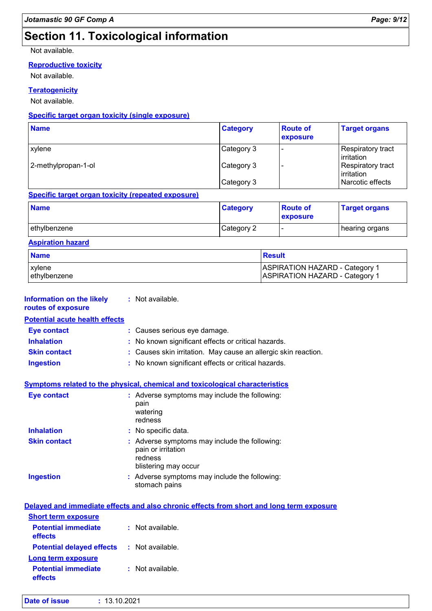### **Section 11. Toxicological information**

Not available.

#### **Reproductive toxicity**

Not available.

#### **Teratogenicity**

Not available.

#### **Specific target organ toxicity (single exposure)**

| <b>Name</b>         | <b>Category</b> | <b>Route of</b><br>exposure | <b>Target organs</b>                   |
|---------------------|-----------------|-----------------------------|----------------------------------------|
| <b>xylene</b>       | Category 3      |                             | Respiratory tract<br>irritation        |
| 2-methylpropan-1-ol | Category 3      |                             | <b>Respiratory tract</b><br>irritation |
|                     | Category 3      |                             | Narcotic effects                       |

#### **Specific target organ toxicity (repeated exposure)**

| <b>Name</b>    | <b>Category</b> | <b>Route of</b><br><b>exposure</b> | <b>Target organs</b> |
|----------------|-----------------|------------------------------------|----------------------|
| l ethvlbenzene | Category 2      | -                                  | hearing organs       |

#### **Aspiration hazard**

| <b>Name</b>   | Result                                |
|---------------|---------------------------------------|
| xylene        | <b>ASPIRATION HAZARD - Category 1</b> |
| lethylbenzene | <b>ASPIRATION HAZARD - Category 1</b> |

| <b>Information on the likely</b><br>routes of exposure | : Not available.                                                                                       |
|--------------------------------------------------------|--------------------------------------------------------------------------------------------------------|
| <b>Potential acute health effects</b>                  |                                                                                                        |
| <b>Eye contact</b>                                     | : Causes serious eye damage.                                                                           |
| <b>Inhalation</b>                                      | No known significant effects or critical hazards.                                                      |
| <b>Skin contact</b>                                    | : Causes skin irritation. May cause an allergic skin reaction.                                         |
| <b>Ingestion</b>                                       | : No known significant effects or critical hazards.                                                    |
|                                                        | Symptoms related to the physical, chemical and toxicological characteristics                           |
| <b>Eye contact</b>                                     | : Adverse symptoms may include the following:<br>pain<br>watering<br>redness                           |
| <b>Inhalation</b>                                      | No specific data.                                                                                      |
| <b>Skin contact</b>                                    | : Adverse symptoms may include the following:<br>pain or irritation<br>redness<br>blistering may occur |
| <b>Ingestion</b>                                       | Adverse symptoms may include the following:<br>stomach pains                                           |
|                                                        | Delayed and immediate effects and also chronic effects from short and long term exposure               |
| <b>Short term exposure</b>                             |                                                                                                        |
| <b>Potential immediate</b><br>effects                  | : Not available.                                                                                       |
| <b>Potential delayed effects</b>                       | : Not available.                                                                                       |
| <b>Long term exposure</b>                              |                                                                                                        |
| <b>Potential immediate</b><br>effects                  | : Not available.                                                                                       |
| : 13.10.2021<br><b>Date of issue</b>                   |                                                                                                        |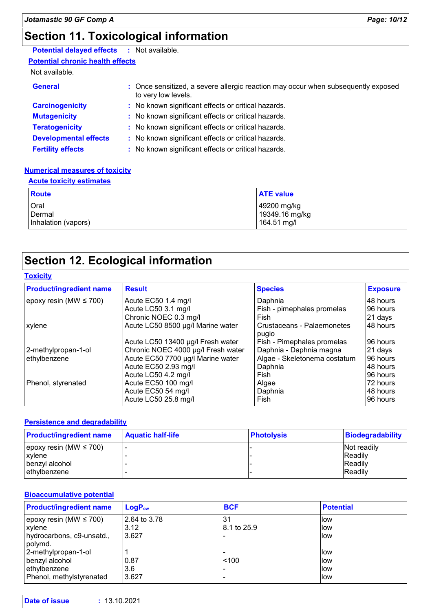### **Section 11. Toxicological information**

### **Potential delayed effects :** Not available.

**Potential chronic health effects**

#### Not available.

| <b>General</b>               | : Once sensitized, a severe allergic reaction may occur when subsequently exposed<br>to very low levels. |
|------------------------------|----------------------------------------------------------------------------------------------------------|
| <b>Carcinogenicity</b>       | : No known significant effects or critical hazards.                                                      |
| <b>Mutagenicity</b>          | : No known significant effects or critical hazards.                                                      |
| <b>Teratogenicity</b>        | : No known significant effects or critical hazards.                                                      |
| <b>Developmental effects</b> | : No known significant effects or critical hazards.                                                      |
| <b>Fertility effects</b>     | : No known significant effects or critical hazards.                                                      |

#### **Numerical measures of toxicity**

#### **Acute toxicity estimates**

| Route               | <b>ATE value</b> |
|---------------------|------------------|
| Oral                | 49200 mg/kg      |
| Dermal              | 19349.16 mg/kg   |
| Inhalation (vapors) | 164.51 mg/l      |

### **Section 12. Ecological information**

#### **Toxicity**

| <b>Product/ingredient name</b> | <b>Result</b>                      | <b>Species</b>                      | <b>Exposure</b> |
|--------------------------------|------------------------------------|-------------------------------------|-----------------|
| epoxy resin (MW $\leq$ 700)    | Acute EC50 1.4 mg/l                | Daphnia                             | 48 hours        |
|                                | Acute LC50 3.1 mg/l                | Fish - pimephales promelas          | 96 hours        |
|                                | Chronic NOEC 0.3 mg/l              | Fish                                | 21 days         |
| xylene                         | Acute LC50 8500 µg/l Marine water  | Crustaceans - Palaemonetes<br>pugio | 48 hours        |
|                                | Acute LC50 13400 µg/l Fresh water  | Fish - Pimephales promelas          | 96 hours        |
| 2-methylpropan-1-ol            | Chronic NOEC 4000 µg/l Fresh water | Daphnia - Daphnia magna             | 21 days         |
| ethylbenzene                   | Acute EC50 7700 µg/l Marine water  | Algae - Skeletonema costatum        | 96 hours        |
|                                | Acute EC50 2.93 mg/l               | Daphnia                             | 48 hours        |
|                                | Acute LC50 4.2 mg/l                | Fish                                | 96 hours        |
| Phenol, styrenated             | Acute EC50 100 mg/l                | Algae                               | 172 hours       |
|                                | Acute EC50 54 mg/l                 | Daphnia                             | 48 hours        |
|                                | Acute LC50 25.8 mg/l               | Fish                                | 96 hours        |

#### **Persistence and degradability**

| <b>Product/ingredient name</b> | <b>Aquatic half-life</b> | <b>Photolysis</b> | Biodegradability |
|--------------------------------|--------------------------|-------------------|------------------|
| epoxy resin (MW $\leq$ 700)    |                          |                   | Not readily      |
| xylene                         |                          |                   | <b>Readily</b>   |
| l benzvl alcohol               |                          |                   | <b>Readily</b>   |
| ethylbenzene                   |                          |                   | <b>Readily</b>   |

#### **Bioaccumulative potential**

| <b>Product/ingredient name</b> | LogP <sub>ow</sub> | <b>BCF</b>  | <b>Potential</b> |
|--------------------------------|--------------------|-------------|------------------|
| epoxy resin (MW $\leq$ 700)    | 2.64 to 3.78       | 31          | llow             |
| xylene                         | 3.12               | 8.1 to 25.9 | llow             |
| hydrocarbons, c9-unsatd.,      | 3.627              |             | llow             |
| polymd.                        |                    |             |                  |
| 2-methylpropan-1-ol            |                    |             | llow             |
| benzyl alcohol                 | 0.87               | < 100       | llow             |
| ethylbenzene                   | 3.6                |             | llow             |
| Phenol, methylstyrenated       | 3.627              |             | llow             |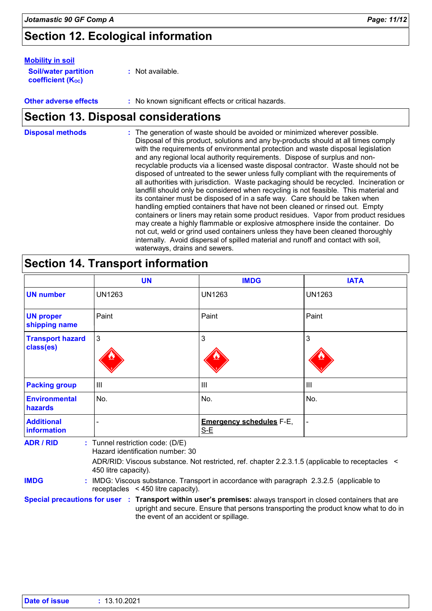### **Section 12. Ecological information**

#### **Mobility in soil**

| <b>Soil/water partition</b> | : Not available. |
|-----------------------------|------------------|
| <b>coefficient (Koc)</b>    |                  |

**Other adverse effects :** No known significant effects or critical hazards.

### **Section 13. Disposal considerations**

The generation of waste should be avoided or minimized wherever possible. Disposal of this product, solutions and any by-products should at all times comply with the requirements of environmental protection and waste disposal legislation and any regional local authority requirements. Dispose of surplus and nonrecyclable products via a licensed waste disposal contractor. Waste should not be disposed of untreated to the sewer unless fully compliant with the requirements of all authorities with jurisdiction. Waste packaging should be recycled. Incineration or landfill should only be considered when recycling is not feasible. This material and its container must be disposed of in a safe way. Care should be taken when handling emptied containers that have not been cleaned or rinsed out. Empty containers or liners may retain some product residues. Vapor from product residues may create a highly flammable or explosive atmosphere inside the container. Do not cut, weld or grind used containers unless they have been cleaned thoroughly internally. Avoid dispersal of spilled material and runoff and contact with soil, waterways, drains and sewers. **Disposal methods :**

### **Section 14. Transport information**

|                                        | <b>UN</b>                        | <b>IMDG</b>                              | <b>IATA</b>    |
|----------------------------------------|----------------------------------|------------------------------------------|----------------|
| <b>UN number</b>                       | <b>UN1263</b>                    | <b>UN1263</b>                            | <b>UN1263</b>  |
| <b>UN proper</b><br>shipping name      | Paint                            | Paint                                    | Paint          |
| <b>Transport hazard</b><br>class(es)   | $\mathbf{3}$                     | 3                                        | 3              |
| <b>Packing group</b>                   | $\mathbf{III}$                   | III                                      | $\mathbf{III}$ |
| <b>Environmental</b><br><b>hazards</b> | No.                              | No.                                      | No.            |
| <b>Additional</b><br>information       |                                  | <b>Emergency schedules F-E,</b><br>$S-E$ |                |
| <b>ADR / RID</b>                       | : Tunnel restriction code: (D/E) |                                          |                |

Hazard identification number: 30

ADR/RID: Viscous substance. Not restricted, ref. chapter 2.2.3.1.5 (applicable to receptacles < 450 litre capacity).

**IMDG :** IMDG: Viscous substance. Transport in accordance with paragraph 2.3.2.5 (applicable to receptacles < 450 litre capacity).

**Special precautions for user Transport within user's premises:** always transport in closed containers that are **:** upright and secure. Ensure that persons transporting the product know what to do in the event of an accident or spillage.